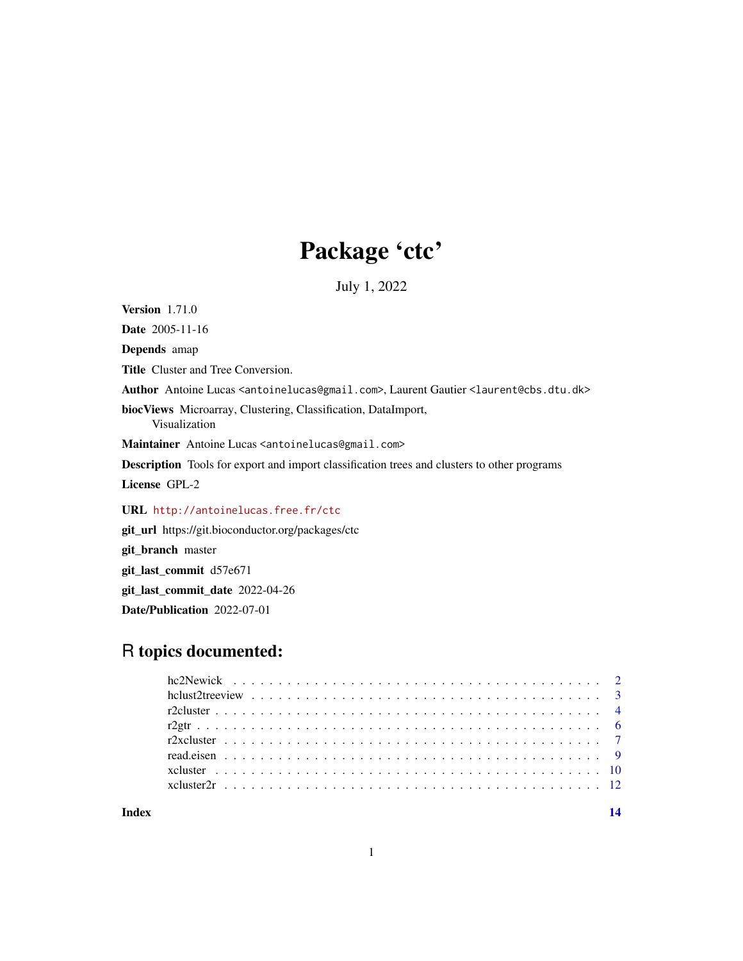## Package 'ctc'

July 1, 2022

<span id="page-0-0"></span>Version 1.71.0 Date 2005-11-16

Depends amap

Title Cluster and Tree Conversion.

Author Antoine Lucas <antoinelucas@gmail.com>, Laurent Gautier <laurent@cbs.dtu.dk>

biocViews Microarray, Clustering, Classification, DataImport, Visualization

Maintainer Antoine Lucas <antoinelucas@gmail.com>

Description Tools for export and import classification trees and clusters to other programs

License GPL-2

URL <http://antoinelucas.free.fr/ctc>

git\_url https://git.bioconductor.org/packages/ctc

git\_branch master

git\_last\_commit d57e671

git\_last\_commit\_date 2022-04-26

Date/Publication 2022-07-01

## R topics documented:

**Index** 2008 **[14](#page-13-0)**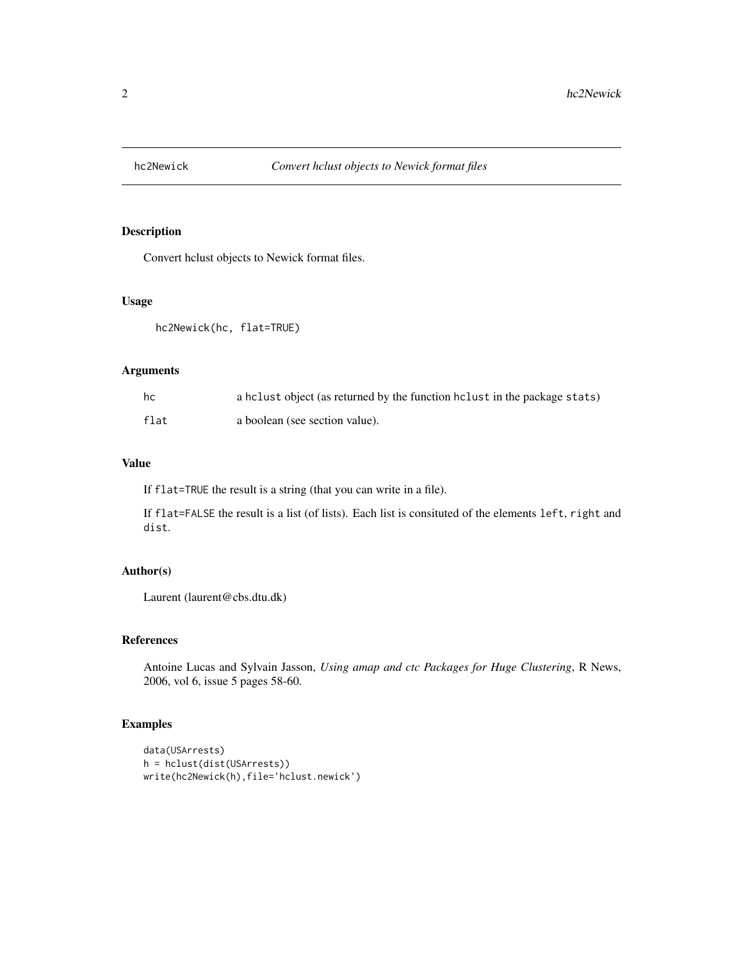<span id="page-1-0"></span>

## Description

Convert hclust objects to Newick format files.

## Usage

hc2Newick(hc, flat=TRUE)

## Arguments

| hc   | a holiect (as returned by the function holiest in the package stats) |
|------|----------------------------------------------------------------------|
| flat | a boolean (see section value).                                       |

## Value

If flat=TRUE the result is a string (that you can write in a file).

If flat=FALSE the result is a list (of lists). Each list is consituted of the elements left, right and dist.

## Author(s)

Laurent (laurent@cbs.dtu.dk)

## References

Antoine Lucas and Sylvain Jasson, *Using amap and ctc Packages for Huge Clustering*, R News, 2006, vol 6, issue 5 pages 58-60.

## Examples

```
data(USArrests)
h = hclust(dist(USArrests))
write(hc2Newick(h),file='hclust.newick')
```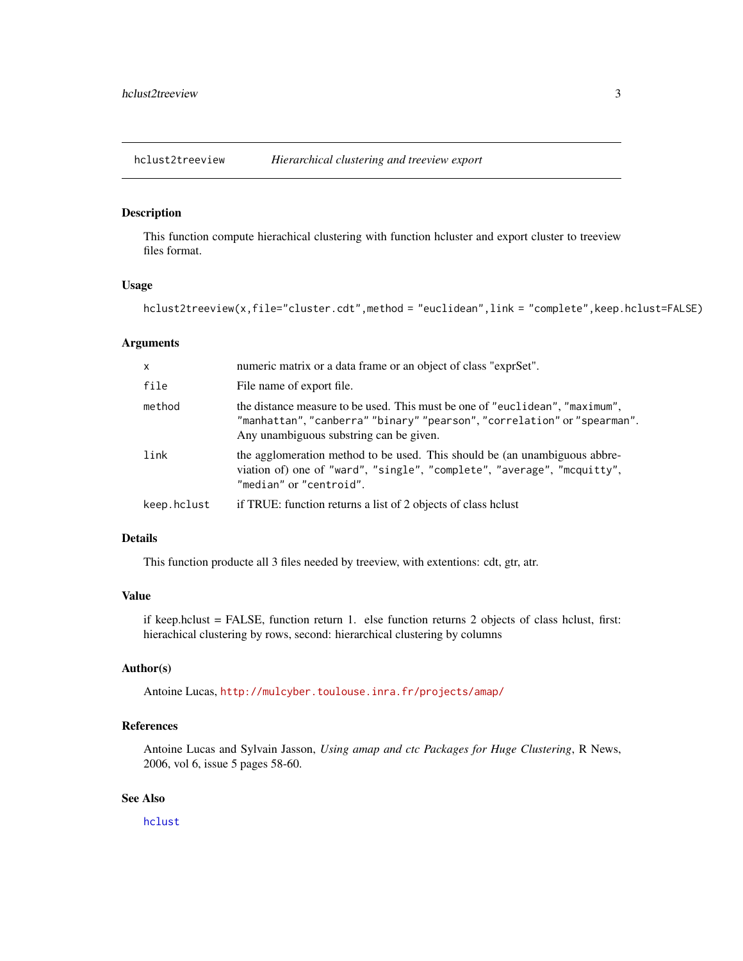<span id="page-2-1"></span><span id="page-2-0"></span>hclust2treeview *Hierarchical clustering and treeview export*

## **Description**

This function compute hierachical clustering with function hcluster and export cluster to treeview files format.

## Usage

hclust2treeview(x,file="cluster.cdt",method = "euclidean",link = "complete",keep.hclust=FALSE)

#### Arguments

| $\mathsf{x}$ | numeric matrix or a data frame or an object of class "exprSet".                                                                                                                                     |
|--------------|-----------------------------------------------------------------------------------------------------------------------------------------------------------------------------------------------------|
| file         | File name of export file.                                                                                                                                                                           |
| method       | the distance measure to be used. This must be one of "euclidean", "maximum",<br>"manhattan", "canberra" "binary" "pearson", "correlation" or "spearman".<br>Any unambiguous substring can be given. |
| link         | the agglomeration method to be used. This should be (an unambiguous abbre-<br>viation of) one of "ward", "single", "complete", "average", "mcquitty",<br>"median" or "centroid".                    |
| keep.hclust  | if TRUE: function returns a list of 2 objects of class helust                                                                                                                                       |

#### Details

This function producte all 3 files needed by treeview, with extentions: cdt, gtr, atr.

## Value

if keep.hclust = FALSE, function return 1. else function returns 2 objects of class hclust, first: hierachical clustering by rows, second: hierarchical clustering by columns

#### Author(s)

Antoine Lucas, <http://mulcyber.toulouse.inra.fr/projects/amap/>

## References

Antoine Lucas and Sylvain Jasson, *Using amap and ctc Packages for Huge Clustering*, R News, 2006, vol 6, issue 5 pages 58-60.

## See Also

[hclust](#page-0-0)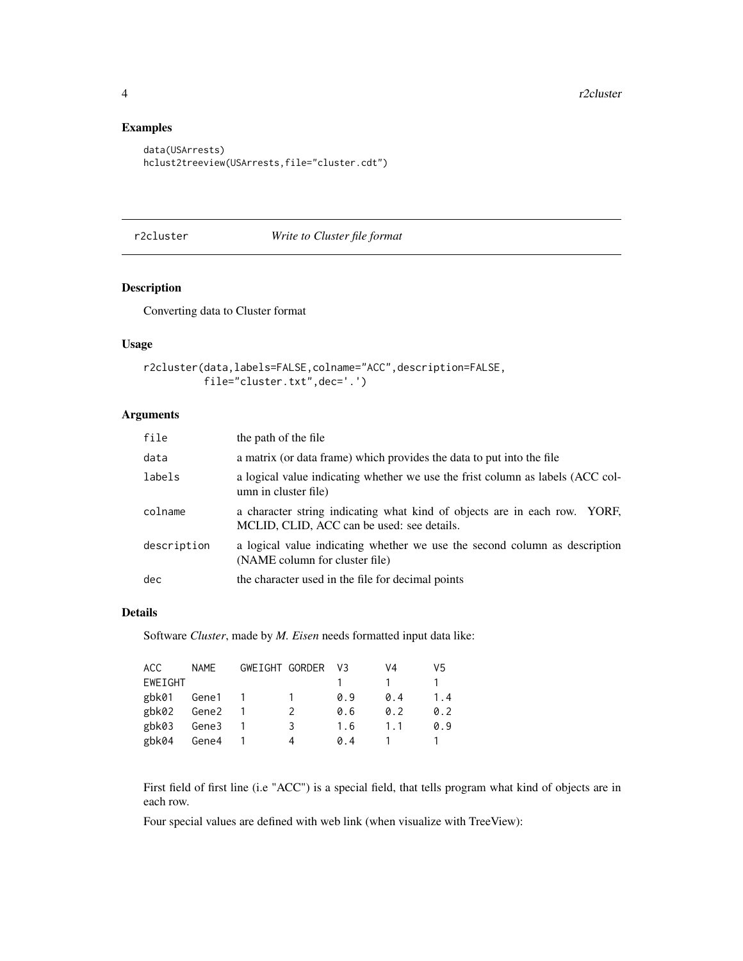## Examples

```
data(USArrests)
hclust2treeview(USArrests,file="cluster.cdt")
```
#### r2cluster *Write to Cluster file format*

## Description

Converting data to Cluster format

## Usage

```
r2cluster(data,labels=FALSE,colname="ACC",description=FALSE,
         file="cluster.txt",dec='.')
```
## Arguments

| file        | the path of the file                                                                                                    |
|-------------|-------------------------------------------------------------------------------------------------------------------------|
| data        | a matrix (or data frame) which provides the data to put into the file                                                   |
| labels      | a logical value indicating whether we use the frist column as labels (ACC col-<br>umn in cluster file)                  |
| colname     | a character string indicating what kind of objects are in each row. YORF,<br>MCLID, CLID, ACC can be used: see details. |
| description | a logical value indicating whether we use the second column as description<br>(NAME column for cluster file)            |
| dec         | the character used in the file for decimal points                                                                       |

#### Details

Software *Cluster*, made by *M. Eisen* needs formatted input data like:

| ACC.    | <b>NAMF</b> | GWEIGHT GORDER | VЗ  | V4  | V5  |
|---------|-------------|----------------|-----|-----|-----|
| EWEIGHT |             |                |     |     |     |
| gbk01   | Gene1       |                | 0.9 | 0.4 | 1.4 |
| gbk02   | Gene2       | 2              | 0.6 | 0.2 | 0.2 |
| gbk03   | Gene3       | 3              | 1.6 | 1 1 | 0.9 |
| gbk04   | Gene4       | 4              | 0 4 |     |     |

First field of first line (i.e "ACC") is a special field, that tells program what kind of objects are in each row.

Four special values are defined with web link (when visualize with TreeView):

<span id="page-3-0"></span>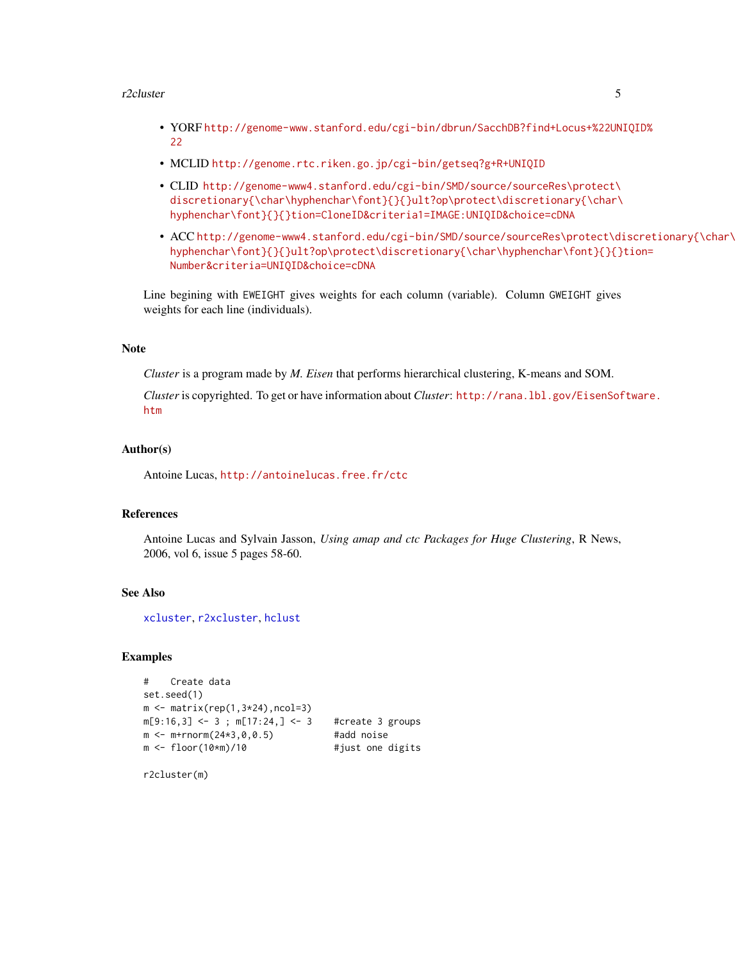#### <span id="page-4-0"></span>r2cluster 5

- YORF [http://genome-www.stanford.edu/cgi-bin/dbrun/SacchDB?find+Locus+%22UN](http://genome-www.stanford.edu/cgi-bin/dbrun/SacchDB?find+Locus+%22UNIQID%22)IQID% [22](http://genome-www.stanford.edu/cgi-bin/dbrun/SacchDB?find+Locus+%22UNIQID%22)
- MCLID <http://genome.rtc.riken.go.jp/cgi-bin/getseq?g+R+UNIQID>
- CLID [http://genome-www4.stanford.edu/cgi-bin/SMD/source/sourceRes\protect\](http://genome-www4.stanford.edu/cgi-bin/SMD/source/sourceRes\protect \discretionary {\char \hyphenchar \font }{}{}ult?op\protect \discretionary {\char \hyphenchar \font }{}{}tion=CloneID&criteria1=IMAGE:UNIQID&choice=cDNA) [discretionary{\char\hyphenchar\font}{}{}ult?op\protect\discretionary{\char\](http://genome-www4.stanford.edu/cgi-bin/SMD/source/sourceRes\protect \discretionary {\char \hyphenchar \font }{}{}ult?op\protect \discretionary {\char \hyphenchar \font }{}{}tion=CloneID&criteria1=IMAGE:UNIQID&choice=cDNA) [hyphenchar\font}{}{}tion=CloneID&criteria1=IMAGE:UNIQID&choice=cDNA](http://genome-www4.stanford.edu/cgi-bin/SMD/source/sourceRes\protect \discretionary {\char \hyphenchar \font }{}{}ult?op\protect \discretionary {\char \hyphenchar \font }{}{}tion=CloneID&criteria1=IMAGE:UNIQID&choice=cDNA)
- ACC [http://genome-www4.stanford.edu/cgi-bin/SMD/source/sourceRes\protect\di](http://genome-www4.stanford.edu/cgi-bin/SMD/source/sourceRes\protect \discretionary {\char \hyphenchar \font }{}{}ult?op\protect \discretionary {\char \hyphenchar \font }{}{}tion=Number&criteria=UNIQID&choice=cDNA)scretionary{\char\ [hyphenchar\font}{}{}ult?op\protect\discretionary{\char\hyphenchar\font}{}{}](http://genome-www4.stanford.edu/cgi-bin/SMD/source/sourceRes\protect \discretionary {\char \hyphenchar \font }{}{}ult?op\protect \discretionary {\char \hyphenchar \font }{}{}tion=Number&criteria=UNIQID&choice=cDNA)tion= [Number&criteria=UNIQID&choice=cDNA](http://genome-www4.stanford.edu/cgi-bin/SMD/source/sourceRes\protect \discretionary {\char \hyphenchar \font }{}{}ult?op\protect \discretionary {\char \hyphenchar \font }{}{}tion=Number&criteria=UNIQID&choice=cDNA)

Line begining with EWEIGHT gives weights for each column (variable). Column GWEIGHT gives weights for each line (individuals).

#### Note

*Cluster* is a program made by *M. Eisen* that performs hierarchical clustering, K-means and SOM.

*Cluster* is copyrighted. To get or have information about *Cluster*: [http://rana.lbl.gov/EisenSof](http://rana.lbl.gov/EisenSoftware.htm)tware. [htm](http://rana.lbl.gov/EisenSoftware.htm)

#### Author(s)

Antoine Lucas, <http://antoinelucas.free.fr/ctc>

## References

Antoine Lucas and Sylvain Jasson, *Using amap and ctc Packages for Huge Clustering*, R News, 2006, vol 6, issue 5 pages 58-60.

## See Also

[xcluster](#page-9-1), [r2xcluster](#page-6-1), [hclust](#page-0-0)

#### Examples

```
# Create data
set.seed(1)
m \leftarrow matrix(rep(1,3*24),ncol=3)m[9:16,3] <- 3; m[17:24,] <- 3 #create 3 groups
m <- m+rnorm(24*3,0,0.5) #add noise
m <- floor(10*m)/10   #just one digits
```
r2cluster(m)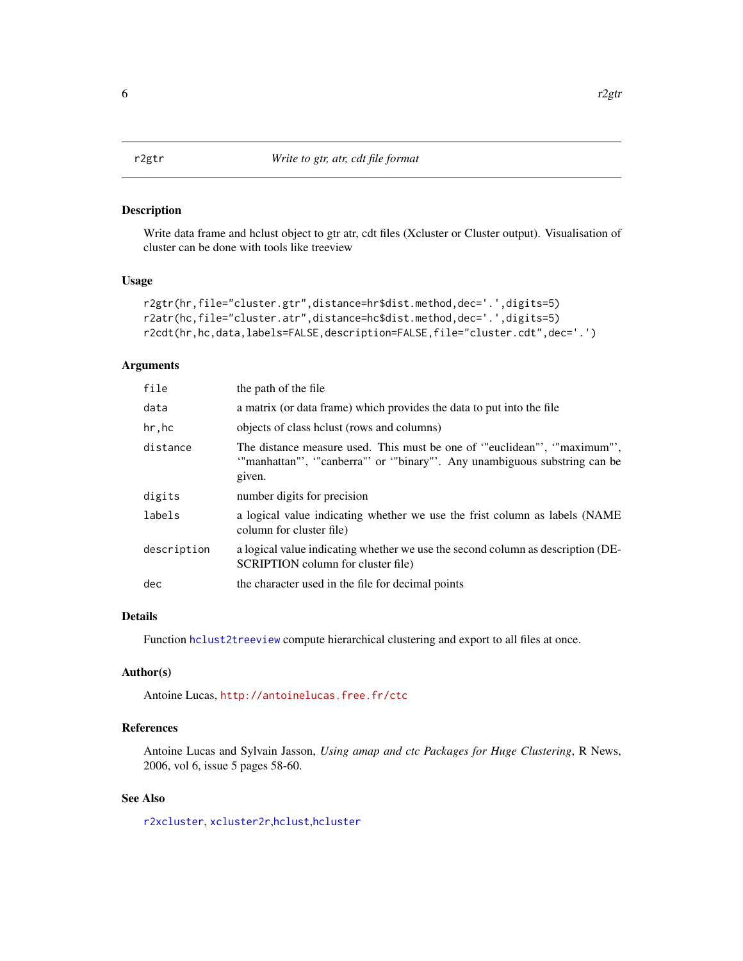<span id="page-5-0"></span>

#### Description

Write data frame and hclust object to gtr atr, cdt files (Xcluster or Cluster output). Visualisation of cluster can be done with tools like treeview

## Usage

```
r2gtr(hr,file="cluster.gtr",distance=hr$dist.method,dec='.',digits=5)
r2atr(hc,file="cluster.atr",distance=hc$dist.method,dec='.',digits=5)
r2cdt(hr,hc,data,labels=FALSE,description=FALSE,file="cluster.cdt",dec='.')
```
#### Arguments

| file        | the path of the file                                                                                                                                         |
|-------------|--------------------------------------------------------------------------------------------------------------------------------------------------------------|
| data        | a matrix (or data frame) which provides the data to put into the file                                                                                        |
| hr,hc       | objects of class helust (rows and columns)                                                                                                                   |
| distance    | The distance measure used. This must be one of "euclidean", "maximum",<br>"manhattan"', "canberra"' or "binary"'. Any unambiguous substring can be<br>given. |
| digits      | number digits for precision                                                                                                                                  |
| labels      | a logical value indicating whether we use the frist column as labels (NAME<br>column for cluster file)                                                       |
| description | a logical value indicating whether we use the second column as description (DE-<br>SCRIPTION column for cluster file)                                        |
| dec         | the character used in the file for decimal points                                                                                                            |

## Details

Function [hclust2treeview](#page-2-1) compute hierarchical clustering and export to all files at once.

#### Author(s)

Antoine Lucas, <http://antoinelucas.free.fr/ctc>

## References

Antoine Lucas and Sylvain Jasson, *Using amap and ctc Packages for Huge Clustering*, R News, 2006, vol 6, issue 5 pages 58-60.

## See Also

[r2xcluster](#page-6-1), [xcluster2r](#page-11-1),[hclust](#page-0-0),[hcluster](#page-0-0)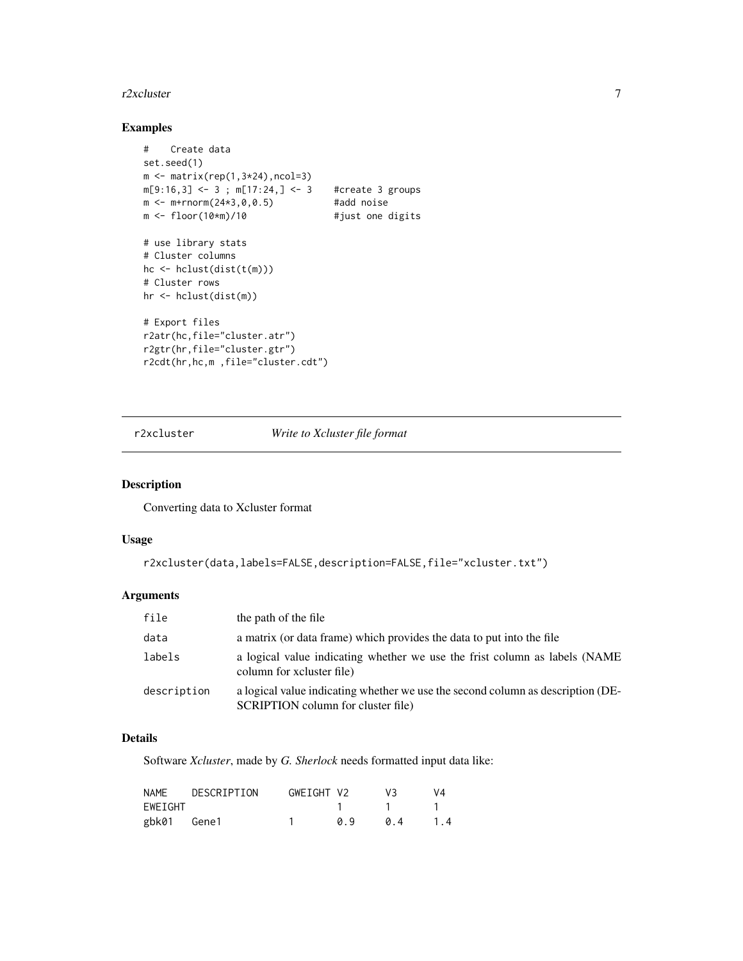#### <span id="page-6-0"></span>r2xcluster 7

## Examples

```
# Create data
set.seed(1)
m \leftarrow matrix(rep(1,3*24),ncol=3)m[9:16,3] <- 3; m[17:24,] <- 3 #create 3 groups
m <- m+rnorm(24*3,0,0.5) #add noise
m <- floor(10*m)/10   #just one digits
# use library stats
# Cluster columns
hc <- hclust(dist(t(m)))
# Cluster rows
hr <- hclust(dist(m))
# Export files
r2atr(hc,file="cluster.atr")
r2gtr(hr,file="cluster.gtr")
r2cdt(hr,hc,m ,file="cluster.cdt")
```
<span id="page-6-1"></span>r2xcluster *Write to Xcluster file format*

#### Description

Converting data to Xcluster format

## Usage

```
r2xcluster(data,labels=FALSE,description=FALSE,file="xcluster.txt")
```
## Arguments

| file        | the path of the file                                                                                                  |
|-------------|-----------------------------------------------------------------------------------------------------------------------|
| data        | a matrix (or data frame) which provides the data to put into the file                                                 |
| labels      | a logical value indicating whether we use the frist column as labels (NAME<br>column for xcluster file)               |
| description | a logical value indicating whether we use the second column as description (DE-<br>SCRIPTION column for cluster file) |

## Details

Software *Xcluster*, made by *G. Sherlock* needs formatted input data like:

| NAME    | DESCRIPTION | GWEIGHT V2 |     | V3 | V4  |
|---------|-------------|------------|-----|----|-----|
| EWEIGHT |             |            |     |    |     |
| gbk01   | Gene1       |            | a 9 | 04 | 1.4 |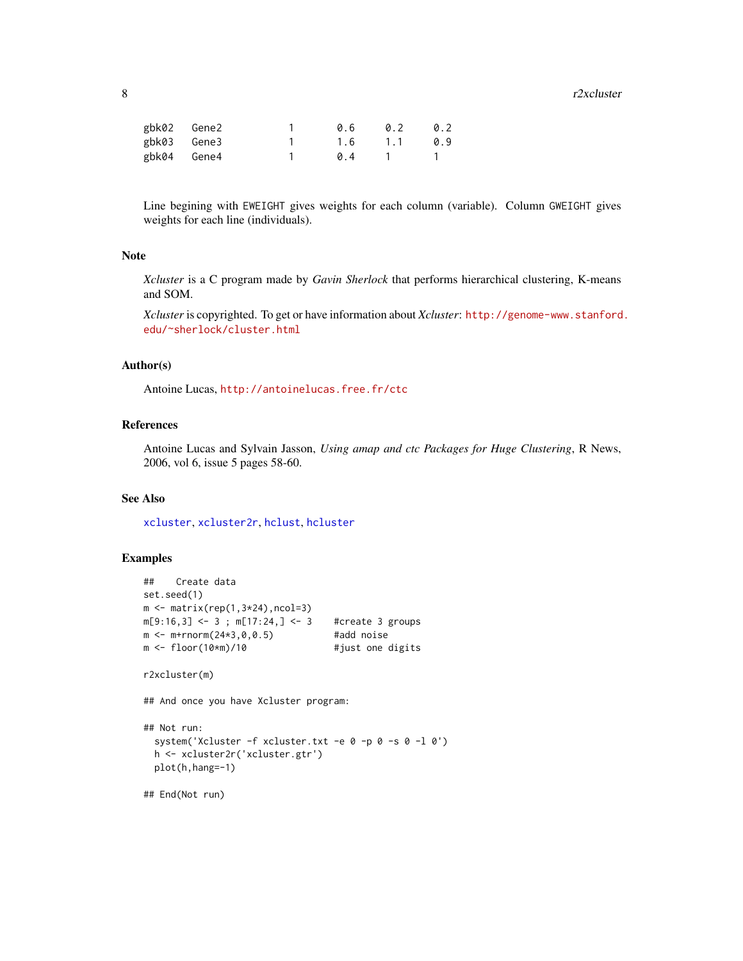#### <span id="page-7-0"></span>8 and 2xcluster and 2xcluster and 2xcluster and 2xcluster and 2xcluster and 2xcluster and 2xcluster

| gbk02 Gene2 | 0.6 | 0.2 | 0.2 |
|-------------|-----|-----|-----|
| gbk03 Gene3 | 1.6 | 1.1 | 0.9 |
| gbk04 Gene4 | 04  |     |     |

Line begining with EWEIGHT gives weights for each column (variable). Column GWEIGHT gives weights for each line (individuals).

#### Note

*Xcluster* is a C program made by *Gavin Sherlock* that performs hierarchical clustering, K-means and SOM.

*Xcluster* is copyrighted. To get or have information about *Xcluster*: [http://genome-www.stanford](http://genome-www.stanford.edu/~sherlock/cluster.html). [edu/~sherlock/cluster.html](http://genome-www.stanford.edu/~sherlock/cluster.html)

#### Author(s)

Antoine Lucas, <http://antoinelucas.free.fr/ctc>

## References

Antoine Lucas and Sylvain Jasson, *Using amap and ctc Packages for Huge Clustering*, R News, 2006, vol 6, issue 5 pages 58-60.

## See Also

[xcluster](#page-9-1), [xcluster2r](#page-11-1), [hclust](#page-0-0), [hcluster](#page-0-0)

#### Examples

```
## Create data
set.seed(1)
m \leftarrow matrix(rep(1,3*24),ncol=3)m[9:16,3] <- 3; m[17:24,] <- 3 #create 3 groups
m < - m + rnorm(24 \times 3, 0, 0.5) #add noise
m <- floor(10*m)/10   #just one digits
r2xcluster(m)
## And once you have Xcluster program:
## Not run:
 system('Xcluster -f xcluster.txt -e 0 -p 0 -s 0 -l 0')
 h <- xcluster2r('xcluster.gtr')
 plot(h,hang=-1)
## End(Not run)
```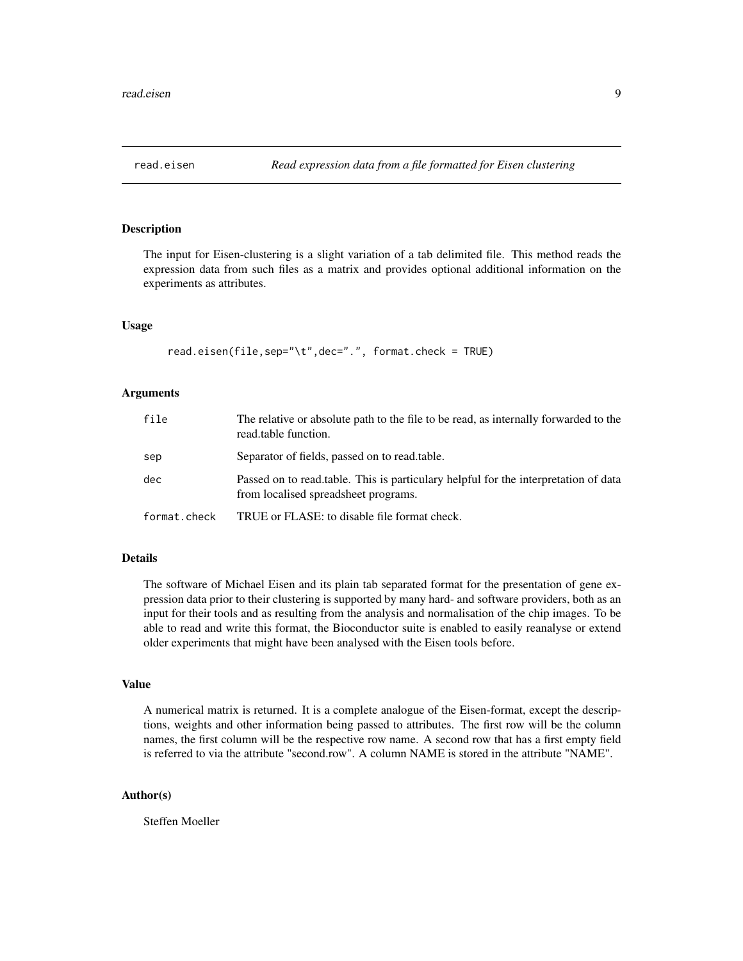<span id="page-8-0"></span>

#### Description

The input for Eisen-clustering is a slight variation of a tab delimited file. This method reads the expression data from such files as a matrix and provides optional additional information on the experiments as attributes.

#### Usage

```
read.eisen(file,sep="\t",dec=".", format.check = TRUE)
```
#### Arguments

| file         | The relative or absolute path to the file to be read, as internally forwarded to the<br>read.table function.                 |
|--------------|------------------------------------------------------------------------------------------------------------------------------|
| sep          | Separator of fields, passed on to read.table.                                                                                |
| dec          | Passed on to read, table. This is particulary helpful for the interpretation of data<br>from localised spreadsheet programs. |
| format.check | TRUE or FLASE: to disable file format check.                                                                                 |

#### Details

The software of Michael Eisen and its plain tab separated format for the presentation of gene expression data prior to their clustering is supported by many hard- and software providers, both as an input for their tools and as resulting from the analysis and normalisation of the chip images. To be able to read and write this format, the Bioconductor suite is enabled to easily reanalyse or extend older experiments that might have been analysed with the Eisen tools before.

#### Value

A numerical matrix is returned. It is a complete analogue of the Eisen-format, except the descriptions, weights and other information being passed to attributes. The first row will be the column names, the first column will be the respective row name. A second row that has a first empty field is referred to via the attribute "second.row". A column NAME is stored in the attribute "NAME".

#### Author(s)

Steffen Moeller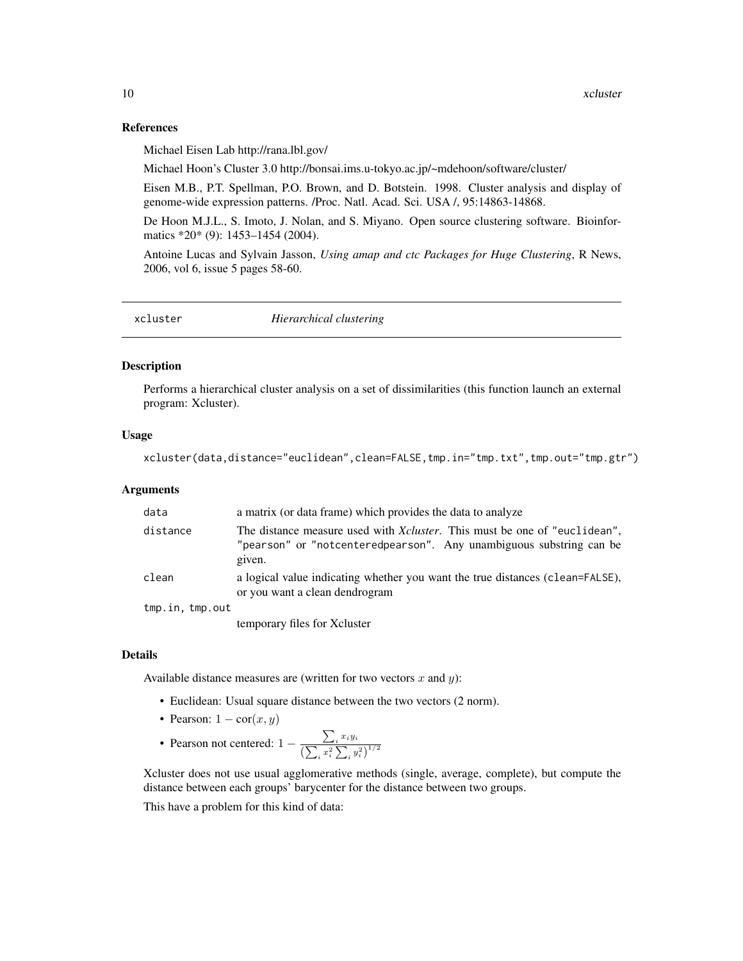#### <span id="page-9-0"></span>References

Michael Eisen Lab http://rana.lbl.gov/

Michael Hoon's Cluster 3.0 http://bonsai.ims.u-tokyo.ac.jp/~mdehoon/software/cluster/

Eisen M.B., P.T. Spellman, P.O. Brown, and D. Botstein. 1998. Cluster analysis and display of genome-wide expression patterns. /Proc. Natl. Acad. Sci. USA /, 95:14863-14868.

De Hoon M.J.L., S. Imoto, J. Nolan, and S. Miyano. Open source clustering software. Bioinformatics \*20\* (9): 1453-1454 (2004).

Antoine Lucas and Sylvain Jasson, *Using amap and ctc Packages for Huge Clustering*, R News, 2006, vol 6, issue 5 pages 58-60.

<span id="page-9-1"></span>

| xcluster | Hierarchical clustering |  |
|----------|-------------------------|--|
|----------|-------------------------|--|

## Description

Performs a hierarchical cluster analysis on a set of dissimilarities (this function launch an external program: Xcluster).

#### Usage

```
xcluster(data,distance="euclidean",clean=FALSE,tmp.in="tmp.txt",tmp.out="tmp.gtr")
```
#### Arguments

| data            | a matrix (or data frame) which provides the data to analyze                                                                                                        |
|-----------------|--------------------------------------------------------------------------------------------------------------------------------------------------------------------|
| distance        | The distance measure used with <i>Xcluster</i> . This must be one of "euclidean",<br>"pearson" or "notcenteredpearson". Any unambiguous substring can be<br>given. |
| clean           | a logical value indicating whether you want the true distances (clean=FALSE),<br>or you want a clean dendrogram                                                    |
| tmp.in, tmp.out |                                                                                                                                                                    |
|                 | temporary files for Xcluster                                                                                                                                       |

## Details

Available distance measures are (written for two vectors  $x$  and  $y$ ):

- Euclidean: Usual square distance between the two vectors (2 norm).
- Pearson:  $1 \text{cor}(x, y)$
- Pearson not centered:  $1 \frac{\sum_i x_i y_i}{\sqrt{\sum_i x_i^2}}$  $\left(\sum_{i} x_i^2 \sum_{i} y_i^2\right)^{1/2}$

Xcluster does not use usual agglomerative methods (single, average, complete), but compute the distance between each groups' barycenter for the distance between two groups.

This have a problem for this kind of data: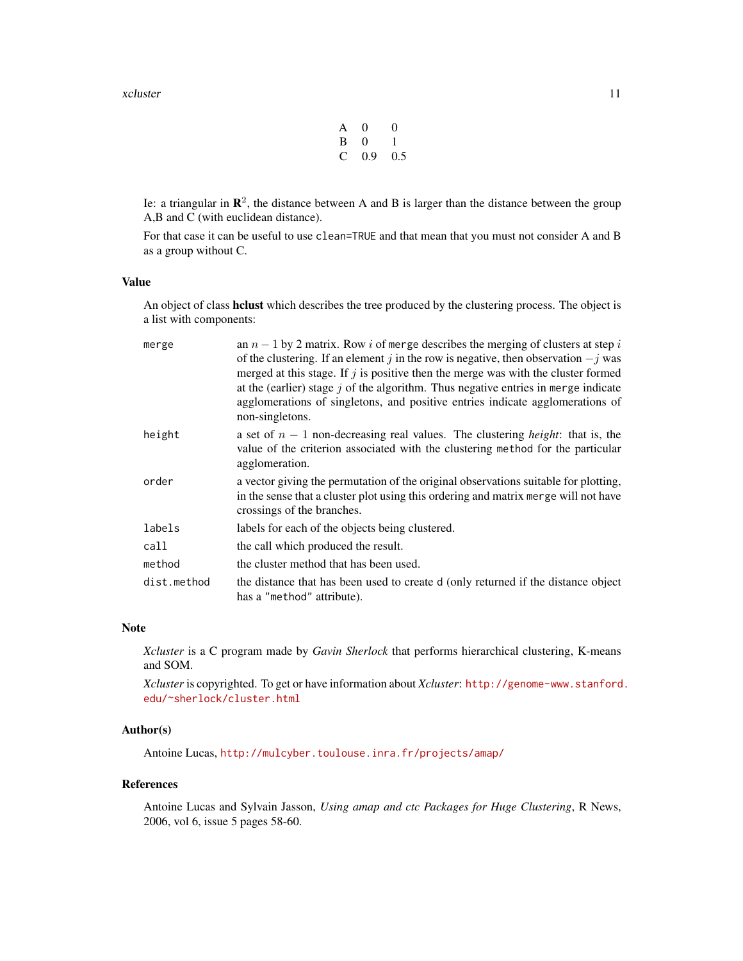#### xcluster 11

| A | $\mathbf{0}$ | $\Omega$ |
|---|--------------|----------|
| B | 0            | 1.       |
| C | 0.9          | 0.5      |

Ie: a triangular in  $\mathbb{R}^2$ , the distance between A and B is larger than the distance between the group A,B and C (with euclidean distance).

For that case it can be useful to use clean=TRUE and that mean that you must not consider A and B as a group without C.

## Value

An object of class hclust which describes the tree produced by the clustering process. The object is a list with components:

| merge       | an $n-1$ by 2 matrix. Row i of merge describes the merging of clusters at step i<br>of the clustering. If an element j in the row is negative, then observation $-j$ was<br>merged at this stage. If $j$ is positive then the merge was with the cluster formed<br>at the (earlier) stage $j$ of the algorithm. Thus negative entries in merge indicate<br>agglomerations of singletons, and positive entries indicate agglomerations of<br>non-singletons. |
|-------------|-------------------------------------------------------------------------------------------------------------------------------------------------------------------------------------------------------------------------------------------------------------------------------------------------------------------------------------------------------------------------------------------------------------------------------------------------------------|
| height      | a set of $n-1$ non-decreasing real values. The clustering <i>height</i> : that is, the<br>value of the criterion associated with the clustering method for the particular<br>agglomeration.                                                                                                                                                                                                                                                                 |
| order       | a vector giving the permutation of the original observations suitable for plotting,<br>in the sense that a cluster plot using this ordering and matrix merge will not have<br>crossings of the branches.                                                                                                                                                                                                                                                    |
| labels      | labels for each of the objects being clustered.                                                                                                                                                                                                                                                                                                                                                                                                             |
| call        | the call which produced the result.                                                                                                                                                                                                                                                                                                                                                                                                                         |
| method      | the cluster method that has been used.                                                                                                                                                                                                                                                                                                                                                                                                                      |
| dist.method | the distance that has been used to create d (only returned if the distance object<br>has a "method" attribute).                                                                                                                                                                                                                                                                                                                                             |

### Note

*Xcluster* is a C program made by *Gavin Sherlock* that performs hierarchical clustering, K-means and SOM.

*Xcluster* is copyrighted. To get or have information about *Xcluster*: [http://genome-www.stanford](http://genome-www.stanford.edu/~sherlock/cluster.html). [edu/~sherlock/cluster.html](http://genome-www.stanford.edu/~sherlock/cluster.html)

## Author(s)

Antoine Lucas, <http://mulcyber.toulouse.inra.fr/projects/amap/>

#### References

Antoine Lucas and Sylvain Jasson, *Using amap and ctc Packages for Huge Clustering*, R News, 2006, vol 6, issue 5 pages 58-60.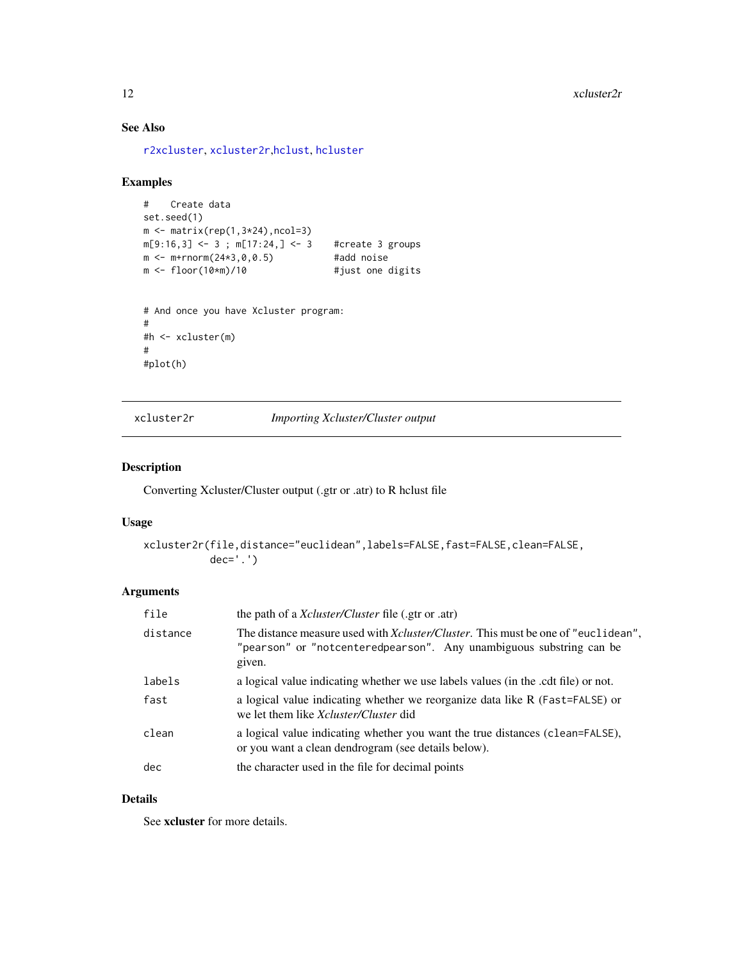## See Also

[r2xcluster](#page-6-1), [xcluster2r](#page-11-1),[hclust](#page-0-0), [hcluster](#page-0-0)

## Examples

```
# Create data
set.seed(1)
m \leftarrow matrix(rep(1,3*24),ncol=3)m[9:16,3] <- 3; m[17:24,] <- 3 #create 3 groups
m < - m + rnorm(24*3, 0, 0.5) #add noise
m <- floor(10*m)/10 #just one digits
# And once you have Xcluster program:
#
#h <- xcluster(m)
#
#plot(h)
```
<span id="page-11-1"></span>xcluster2r *Importing Xcluster/Cluster output*

## Description

Converting Xcluster/Cluster output (.gtr or .atr) to R hclust file

## Usage

```
xcluster2r(file,distance="euclidean",labels=FALSE,fast=FALSE,clean=FALSE,
          dec='.')
```
## Arguments

| file     | the path of a <i>Xcluster/Cluster</i> file (.gtr or .atr)                                                                                                                  |  |
|----------|----------------------------------------------------------------------------------------------------------------------------------------------------------------------------|--|
| distance | The distance measure used with <i>Xcluster/Cluster</i> . This must be one of "euclidean",<br>"pearson" or "notcenteredpearson". Any unambiguous substring can be<br>given. |  |
| labels   | a logical value indicating whether we use labels values (in the .cdt file) or not.                                                                                         |  |
| fast     | a logical value indicating whether we reorganize data like R (Fast=FALSE) or<br>we let them like <i>Xcluster</i> / <i>Cluster</i> did                                      |  |
| clean    | a logical value indicating whether you want the true distances (clean=FALSE),<br>or you want a clean dendrogram (see details below).                                       |  |
| dec      | the character used in the file for decimal points                                                                                                                          |  |

## Details

See xcluster for more details.

<span id="page-11-0"></span>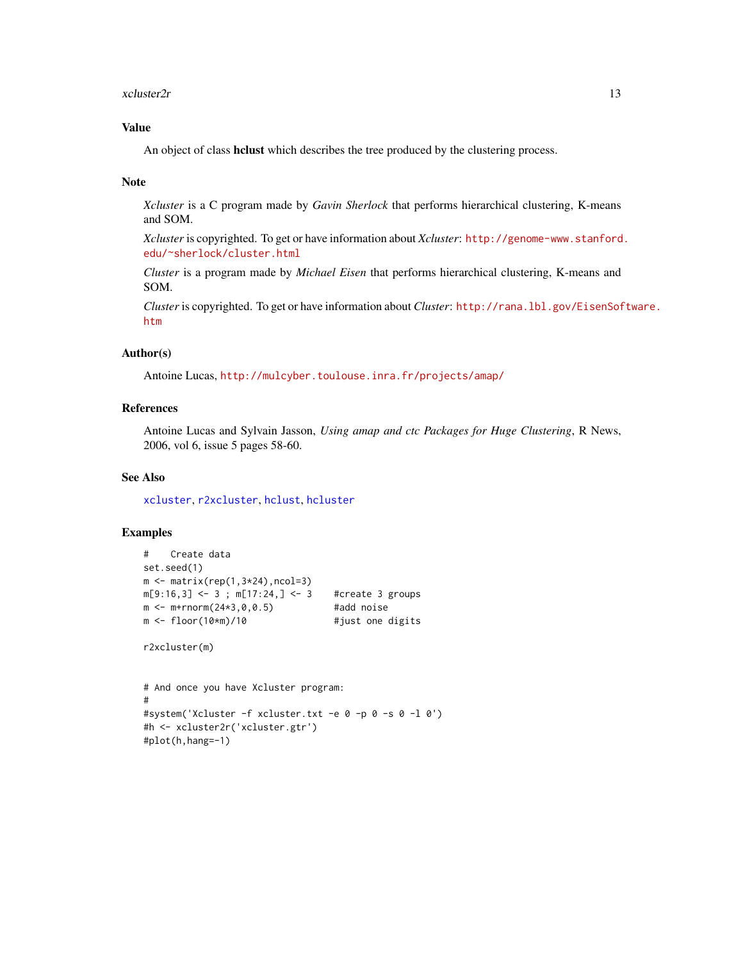#### <span id="page-12-0"></span> $x$ cluster2r  $13$

## Value

An object of class hclust which describes the tree produced by the clustering process.

#### Note

*Xcluster* is a C program made by *Gavin Sherlock* that performs hierarchical clustering, K-means and SOM.

*Xcluster* is copyrighted. To get or have information about *Xcluster*: [http://genome-www.stanford](http://genome-www.stanford.edu/~sherlock/cluster.html). [edu/~sherlock/cluster.html](http://genome-www.stanford.edu/~sherlock/cluster.html)

*Cluster* is a program made by *Michael Eisen* that performs hierarchical clustering, K-means and SOM.

*Cluster* is copyrighted. To get or have information about *Cluster*: [http://rana.lbl.gov/EisenSof](http://rana.lbl.gov/EisenSoftware.htm)tware. [htm](http://rana.lbl.gov/EisenSoftware.htm)

## Author(s)

Antoine Lucas, <http://mulcyber.toulouse.inra.fr/projects/amap/>

## References

Antoine Lucas and Sylvain Jasson, *Using amap and ctc Packages for Huge Clustering*, R News, 2006, vol 6, issue 5 pages 58-60.

### See Also

[xcluster](#page-9-1), [r2xcluster](#page-6-1), [hclust](#page-0-0), [hcluster](#page-0-0)

#### Examples

```
# Create data
set.seed(1)
m \leftarrow matrix(rep(1,3*24),ncol=3)m[9:16,3] <- 3; m[17:24,] <- 3 #create 3 groups
m \le - m + r n \text{ or } (24 \times 3, 0, 0.5) #add noise
m <- floor(10*m)/10   #just one digits
```

```
r2xcluster(m)
```

```
# And once you have Xcluster program:
#
#system('Xcluster -f xcluster.txt -e 0 -p 0 -s 0 -l 0')
#h <- xcluster2r('xcluster.gtr')
#plot(h,hang=-1)
```